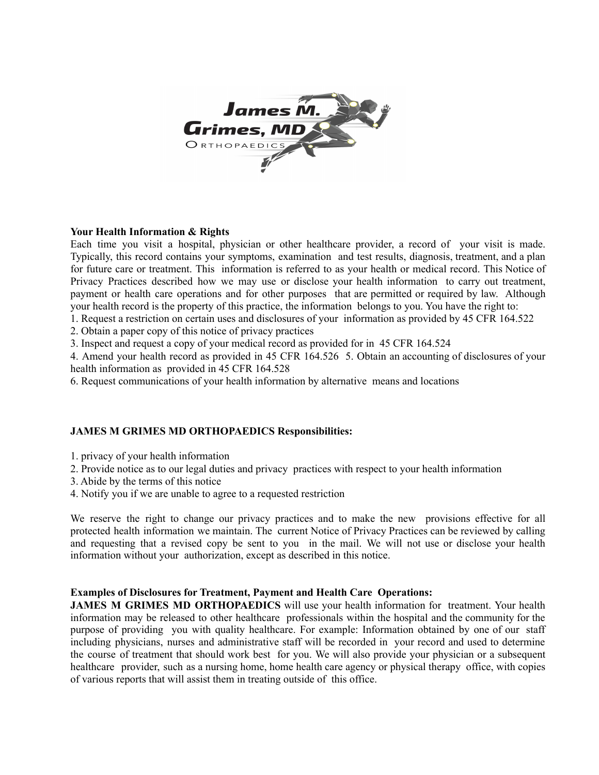

## **Your Health Information & Rights**

Each time you visit a hospital, physician or other healthcare provider, a record of your visit is made. Typically, this record contains your symptoms, examination and test results, diagnosis, treatment, and a plan for future care or treatment. This information is referred to as your health or medical record. This Notice of Privacy Practices described how we may use or disclose your health information to carry out treatment, payment or health care operations and for other purposes that are permitted or required by law. Although your health record is the property of this practice, the information belongs to you. You have the right to:

1. Request a restriction on certain uses and disclosures of your information as provided by 45 CFR 164.522

2. Obtain a paper copy of this notice of privacy practices

3. Inspect and request a copy of your medical record as provided for in 45 CFR 164.524

4. Amend your health record as provided in 45 CFR 164.526 5. Obtain an accounting of disclosures of your health information as provided in 45 CFR 164.528

6. Request communications of your health information by alternative means and locations

## **JAMES M GRIMES MD ORTHOPAEDICS Responsibilities:**

- 1. privacy of your health information
- 2. Provide notice as to our legal duties and privacy practices with respect to your health information
- 3. Abide by the terms of this notice
- 4. Notify you if we are unable to agree to a requested restriction

We reserve the right to change our privacy practices and to make the new provisions effective for all protected health information we maintain. The current Notice of Privacy Practices can be reviewed by calling and requesting that a revised copy be sent to you in the mail. We will not use or disclose your health information without your authorization, except as described in this notice.

## **Examples of Disclosures for Treatment, Payment and Health Care Operations:**

**JAMES M GRIMES MD ORTHOPAEDICS** will use your health information for treatment. Your health information may be released to other healthcare professionals within the hospital and the community for the purpose of providing you with quality healthcare. For example: Information obtained by one of our staff including physicians, nurses and administrative staff will be recorded in your record and used to determine the course of treatment that should work best for you. We will also provide your physician or a subsequent healthcare provider, such as a nursing home, home health care agency or physical therapy office, with copies of various reports that will assist them in treating outside of this office.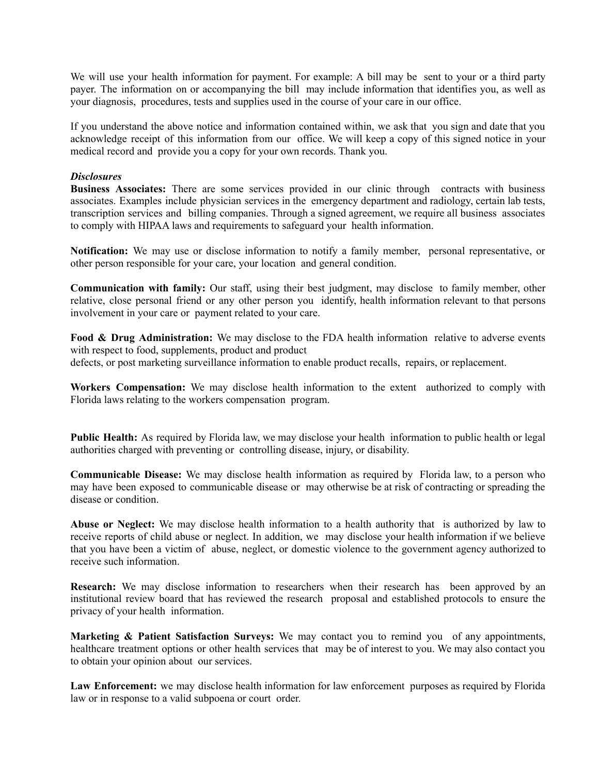We will use your health information for payment. For example: A bill may be sent to your or a third party payer. The information on or accompanying the bill may include information that identifies you, as well as your diagnosis, procedures, tests and supplies used in the course of your care in our office.

If you understand the above notice and information contained within, we ask that you sign and date that you acknowledge receipt of this information from our office. We will keep a copy of this signed notice in your medical record and provide you a copy for your own records. Thank you.

## *Disclosures*

**Business Associates:** There are some services provided in our clinic through contracts with business associates. Examples include physician services in the emergency department and radiology, certain lab tests, transcription services and billing companies. Through a signed agreement, we require all business associates to comply with HIPAA laws and requirements to safeguard your health information.

**Notification:** We may use or disclose information to notify a family member, personal representative, or other person responsible for your care, your location and general condition.

**Communication with family:** Our staff, using their best judgment, may disclose to family member, other relative, close personal friend or any other person you identify, health information relevant to that persons involvement in your care or payment related to your care.

**Food & Drug Administration:** We may disclose to the FDA health information relative to adverse events with respect to food, supplements, product and product

defects, or post marketing surveillance information to enable product recalls, repairs, or replacement.

**Workers Compensation:** We may disclose health information to the extent authorized to comply with Florida laws relating to the workers compensation program.

**Public Health:** As required by Florida law, we may disclose your health information to public health or legal authorities charged with preventing or controlling disease, injury, or disability.

**Communicable Disease:** We may disclose health information as required by Florida law, to a person who may have been exposed to communicable disease or may otherwise be at risk of contracting or spreading the disease or condition.

**Abuse or Neglect:** We may disclose health information to a health authority that is authorized by law to receive reports of child abuse or neglect. In addition, we may disclose your health information if we believe that you have been a victim of abuse, neglect, or domestic violence to the government agency authorized to receive such information.

**Research:** We may disclose information to researchers when their research has been approved by an institutional review board that has reviewed the research proposal and established protocols to ensure the privacy of your health information.

**Marketing & Patient Satisfaction Surveys:** We may contact you to remind you of any appointments, healthcare treatment options or other health services that may be of interest to you. We may also contact you to obtain your opinion about our services.

**Law Enforcement:** we may disclose health information for law enforcement purposes as required by Florida law or in response to a valid subpoena or court order.